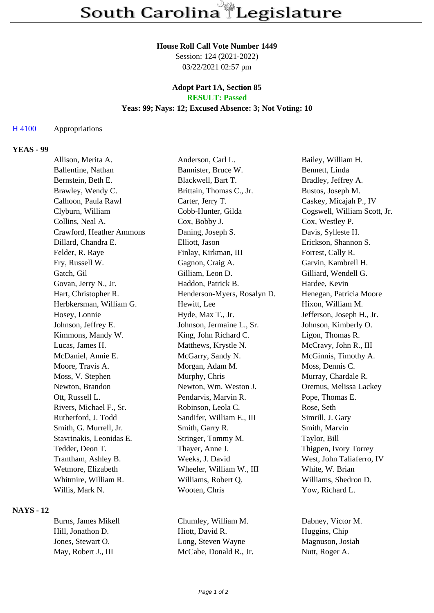### **House Roll Call Vote Number 1449**

Session: 124 (2021-2022) 03/22/2021 02:57 pm

#### **Adopt Part 1A, Section 85 RESULT: Passed**

## **Yeas: 99; Nays: 12; Excused Absence: 3; Not Voting: 10**

#### H 4100 Appropriations

## **YEAS - 99**

Allison, Merita A. Anderson, Carl L. Bailey, William H. Ballentine, Nathan Bannister, Bruce W. Bennett, Linda Bernstein, Beth E. Blackwell, Bart T. Bradley, Jeffrey A. Brawley, Wendy C. Brittain, Thomas C., Jr. Bustos, Joseph M. Calhoon, Paula Rawl Carter, Jerry T. Caskey, Micajah P., IV Clyburn, William Cobb-Hunter, Gilda Cogswell, William Scott, Jr. Collins, Neal A. Cox, Bobby J. Cox, Westley P. Crawford, Heather Ammons Daning, Joseph S. Davis, Sylleste H. Dillard, Chandra E. Elliott, Jason Erickson, Shannon S. Felder, R. Raye Finlay, Kirkman, III Forrest, Cally R. Fry, Russell W. Gagnon, Craig A. Garvin, Kambrell H. Gatch, Gil Gilliam, Leon D. Gilliard, Wendell G. Govan, Jerry N., Jr. **Haddon, Patrick B.** Hardee, Kevin Hart, Christopher R. Henderson-Myers, Rosalyn D. Henegan, Patricia Moore Herbkersman, William G. **Hewitt, Lee** Hixon, William M. Hosey, Lonnie Hyde, Max T., Jr. Jefferson, Joseph H., Jr. Johnson, Jeffrey E. Johnson, Jermaine L., Sr. Johnson, Kimberly O. Kimmons, Mandy W. King, John Richard C. Ligon, Thomas R. Lucas, James H. Matthews, Krystle N. McCravy, John R., III McDaniel, Annie E. McGarry, Sandy N. McGinnis, Timothy A. Moore, Travis A. Morgan, Adam M. Moss, Dennis C. Moss, V. Stephen Murphy, Chris Murray, Chardale R. Newton, Brandon Newton, Wm. Weston J. Cremus, Melissa Lackey Ott, Russell L. Pendarvis, Marvin R. Pope, Thomas E. Rivers, Michael F., Sr. Robinson, Leola C. Rose, Seth Rutherford, J. Todd Sandifer, William E., III Simrill, J. Gary Smith, G. Murrell, Jr. Smith, Garry R. Smith, Marvin Stavrinakis, Leonidas E. Stringer, Tommy M. Taylor, Bill Tedder, Deon T. Thayer, Anne J. Thigpen, Ivory Torrey Trantham, Ashley B. Weeks, J. David West, John Taliaferro, IV Wetmore, Elizabeth Wheeler, William W., III White, W. Brian Whitmire, William R. Williams, Robert Q. Williams, Shedron D. Willis, Mark N. Wooten, Chris Wooten, Chris Yow, Richard L.

## **NAYS - 12**

Burns, James Mikell Chumley, William M. Dabney, Victor M. Hill, Jonathon D. Hiott, David R. Huggins, Chip Jones, Stewart O. Long, Steven Wayne Magnuson, Josiah May, Robert J., III McCabe, Donald R., Jr. Nutt, Roger A.